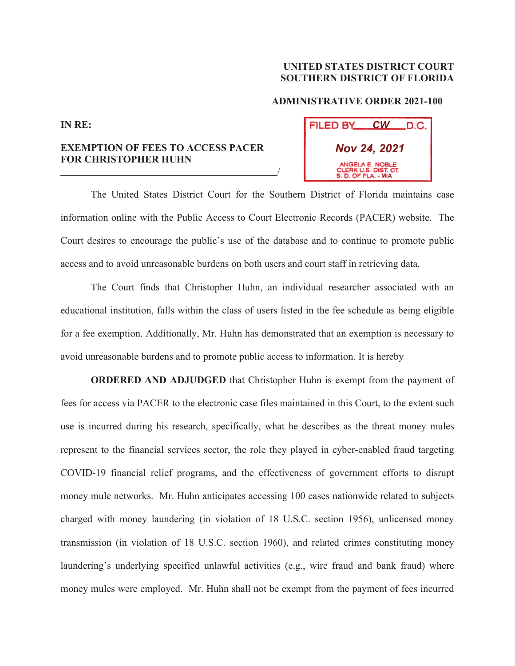## **UNITED STATES DISTRICT COURT SOUTHERN DISTRICT OF FLORIDA**

## **ADMINISTRATIVE ORDER 2021-100**

| FILED BY<br>.D.C.<br><u>CW_</u>                                |
|----------------------------------------------------------------|
| <b>Nov 24, 2021</b>                                            |
| ANGELA E. NOBLE<br>CLERK U.S. DIST. CT.<br>S. D. OF FLA. - MIA |

**EXEMPTION OF FEES TO ACCESS PACER FOR CHRISTOPHER HUHN** 

<u>/</u>

**IN RE:**

 The United States District Court for the Southern District of Florida maintains case information online with the Public Access to Court Electronic Records (PACER) website. The Court desires to encourage the public's use of the database and to continue to promote public access and to avoid unreasonable burdens on both users and court staff in retrieving data.

 The Court finds that Christopher Huhn, an individual researcher associated with an educational institution, falls within the class of users listed in the fee schedule as being eligible for a fee exemption. Additionally, Mr. Huhn has demonstrated that an exemption is necessary to avoid unreasonable burdens and to promote public access to information. It is hereby

**ORDERED AND ADJUDGED** that Christopher Huhn is exempt from the payment of fees for access via PACER to the electronic case files maintained in this Court, to the extent such use is incurred during his research, specifically, what he describes as the threat money mules represent to the financial services sector, the role they played in cyber-enabled fraud targeting COVID-19 financial relief programs, and the effectiveness of government efforts to disrupt money mule networks. Mr. Huhn anticipates accessing 100 cases nationwide related to subjects charged with money laundering (in violation of 18 U.S.C. section 1956), unlicensed money transmission (in violation of 18 U.S.C. section 1960), and related crimes constituting money laundering's underlying specified unlawful activities (e.g., wire fraud and bank fraud) where money mules were employed. Mr. Huhn shall not be exempt from the payment of fees incurred